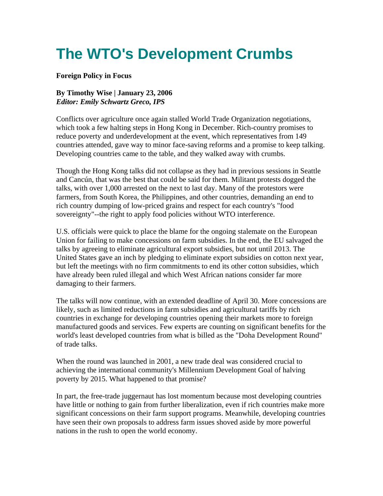# **The WTO's Development Crumbs**

## **Foreign Policy in Focus**

## **By Timothy Wise | January 23, 2006**  *Editor: Emily Schwartz Greco, IPS*

Conflicts over agriculture once again stalled World Trade Organization negotiations, which took a few halting steps in Hong Kong in December. Rich-country promises to reduce poverty and underdevelopment at the event, which representatives from 149 countries attended, gave way to minor face-saving reforms and a promise to keep talking. Developing countries came to the table, and they walked away with crumbs.

Though the Hong Kong talks did not collapse as they had in previous sessions in Seattle and Cancún, that was the best that could be said for them. Militant protests dogged the talks, with over 1,000 arrested on the next to last day. Many of the protestors were farmers, from South Korea, the Philippines, and other countries, demanding an end to rich country dumping of low-priced grains and respect for each country's "food sovereignty"--the right to apply food policies without WTO interference.

U.S. officials were quick to place the blame for the ongoing stalemate on the European Union for failing to make concessions on farm subsidies. In the end, the EU salvaged the talks by agreeing to eliminate agricultural export subsidies, but not until 2013. The United States gave an inch by pledging to eliminate export subsidies on cotton next year, but left the meetings with no firm commitments to end its other cotton subsidies, which have already been ruled illegal and which West African nations consider far more damaging to their farmers.

The talks will now continue, with an extended deadline of April 30. More concessions are likely, such as limited reductions in farm subsidies and agricultural tariffs by rich countries in exchange for developing countries opening their markets more to foreign manufactured goods and services. Few experts are counting on significant benefits for the world's least developed countries from what is billed as the "Doha Development Round" of trade talks.

When the round was launched in 2001, a new trade deal was considered crucial to achieving the international community's Millennium Development Goal of halving poverty by 2015. What happened to that promise?

In part, the free-trade juggernaut has lost momentum because most developing countries have little or nothing to gain from further liberalization, even if rich countries make more significant concessions on their farm support programs. Meanwhile, developing countries have seen their own proposals to address farm issues shoved aside by more powerful nations in the rush to open the world economy.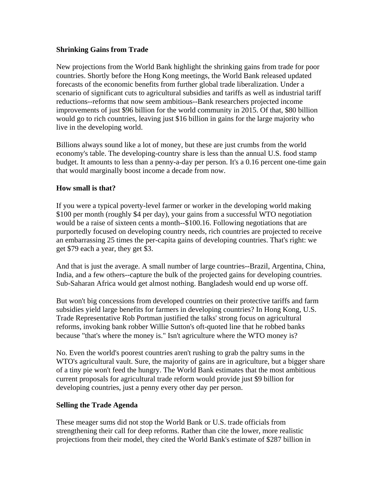### **Shrinking Gains from Trade**

New projections from the World Bank highlight the shrinking gains from trade for poor countries. Shortly before the Hong Kong meetings, the World Bank released updated forecasts of the economic benefits from further global trade liberalization. Under a scenario of significant cuts to agricultural subsidies and tariffs as well as industrial tariff reductions--reforms that now seem ambitious--Bank researchers projected income improvements of just \$96 billion for the world community in 2015. Of that, \$80 billion would go to rich countries, leaving just \$16 billion in gains for the large majority who live in the developing world.

Billions always sound like a lot of money, but these are just crumbs from the world economy's table. The developing-country share is less than the annual U.S. food stamp budget. It amounts to less than a penny-a-day per person. It's a 0.16 percent one-time gain that would marginally boost income a decade from now.

### **How small is that?**

If you were a typical poverty-level farmer or worker in the developing world making \$100 per month (roughly \$4 per day), your gains from a successful WTO negotiation would be a raise of sixteen cents a month--\$100.16. Following negotiations that are purportedly focused on developing country needs, rich countries are projected to receive an embarrassing 25 times the per-capita gains of developing countries. That's right: we get \$79 each a year, they get \$3.

And that is just the average. A small number of large countries--Brazil, Argentina, China, India, and a few others--capture the bulk of the projected gains for developing countries. Sub-Saharan Africa would get almost nothing. Bangladesh would end up worse off.

But won't big concessions from developed countries on their protective tariffs and farm subsidies yield large benefits for farmers in developing countries? In Hong Kong, U.S. Trade Representative Rob Portman justified the talks' strong focus on agricultural reforms, invoking bank robber Willie Sutton's oft-quoted line that he robbed banks because "that's where the money is." Isn't agriculture where the WTO money is?

No. Even the world's poorest countries aren't rushing to grab the paltry sums in the WTO's agricultural vault. Sure, the majority of gains are in agriculture, but a bigger share of a tiny pie won't feed the hungry. The World Bank estimates that the most ambitious current proposals for agricultural trade reform would provide just \$9 billion for developing countries, just a penny every other day per person.

## **Selling the Trade Agenda**

These meager sums did not stop the World Bank or U.S. trade officials from strengthening their call for deep reforms. Rather than cite the lower, more realistic projections from their model, they cited the World Bank's estimate of \$287 billion in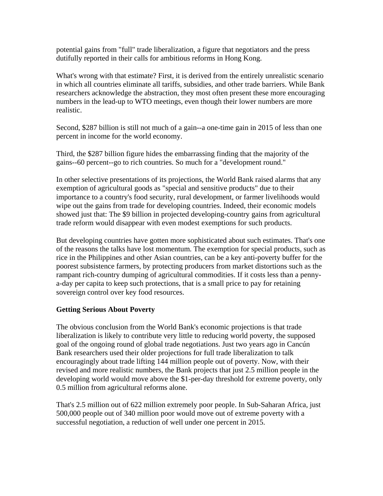potential gains from "full" trade liberalization, a figure that negotiators and the press dutifully reported in their calls for ambitious reforms in Hong Kong.

What's wrong with that estimate? First, it is derived from the entirely unrealistic scenario in which all countries eliminate all tariffs, subsidies, and other trade barriers. While Bank researchers acknowledge the abstraction, they most often present these more encouraging numbers in the lead-up to WTO meetings, even though their lower numbers are more realistic.

Second, \$287 billion is still not much of a gain--a one-time gain in 2015 of less than one percent in income for the world economy.

Third, the \$287 billion figure hides the embarrassing finding that the majority of the gains--60 percent--go to rich countries. So much for a "development round."

In other selective presentations of its projections, the World Bank raised alarms that any exemption of agricultural goods as "special and sensitive products" due to their importance to a country's food security, rural development, or farmer livelihoods would wipe out the gains from trade for developing countries. Indeed, their economic models showed just that: The \$9 billion in projected developing-country gains from agricultural trade reform would disappear with even modest exemptions for such products.

But developing countries have gotten more sophisticated about such estimates. That's one of the reasons the talks have lost momentum. The exemption for special products, such as rice in the Philippines and other Asian countries, can be a key anti-poverty buffer for the poorest subsistence farmers, by protecting producers from market distortions such as the rampant rich-country dumping of agricultural commodities. If it costs less than a pennya-day per capita to keep such protections, that is a small price to pay for retaining sovereign control over key food resources.

## **Getting Serious About Poverty**

The obvious conclusion from the World Bank's economic projections is that trade liberalization is likely to contribute very little to reducing world poverty, the supposed goal of the ongoing round of global trade negotiations. Just two years ago in Cancún Bank researchers used their older projections for full trade liberalization to talk encouragingly about trade lifting 144 million people out of poverty. Now, with their revised and more realistic numbers, the Bank projects that just 2.5 million people in the developing world would move above the \$1-per-day threshold for extreme poverty, only 0.5 million from agricultural reforms alone.

That's 2.5 million out of 622 million extremely poor people. In Sub-Saharan Africa, just 500,000 people out of 340 million poor would move out of extreme poverty with a successful negotiation, a reduction of well under one percent in 2015.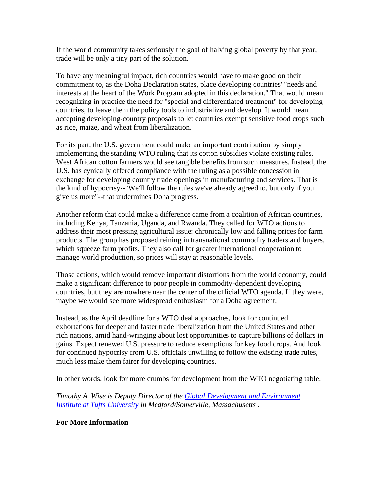If the world community takes seriously the goal of halving global poverty by that year, trade will be only a tiny part of the solution.

To have any meaningful impact, rich countries would have to make good on their commitment to, as the Doha Declaration states, place developing countries' "needs and interests at the heart of the Work Program adopted in this declaration." That would mean recognizing in practice the need for "special and differentiated treatment" for developing countries, to leave them the policy tools to industrialize and develop. It would mean accepting developing-country proposals to let countries exempt sensitive food crops such as rice, maize, and wheat from liberalization.

For its part, the U.S. government could make an important contribution by simply implementing the standing WTO ruling that its cotton subsidies violate existing rules. West African cotton farmers would see tangible benefits from such measures. Instead, the U.S. has cynically offered compliance with the ruling as a possible concession in exchange for developing country trade openings in manufacturing and services. That is the kind of hypocrisy--"We'll follow the rules we've already agreed to, but only if you give us more"--that undermines Doha progress.

Another reform that could make a difference came from a coalition of African countries, including Kenya, Tanzania, Uganda, and Rwanda. They called for WTO actions to address their most pressing agricultural issue: chronically low and falling prices for farm products. The group has proposed reining in transnational commodity traders and buyers, which squeeze farm profits. They also call for greater international cooperation to manage world production, so prices will stay at reasonable levels.

Those actions, which would remove important distortions from the world economy, could make a significant difference to poor people in commodity-dependent developing countries, but they are nowhere near the center of the official WTO agenda. If they were, maybe we would see more widespread enthusiasm for a Doha agreement.

Instead, as the April deadline for a WTO deal approaches, look for continued exhortations for deeper and faster trade liberalization from the United States and other rich nations, amid hand-wringing about lost opportunities to capture billions of dollars in gains. Expect renewed U.S. pressure to reduce exemptions for key food crops. And look for continued hypocrisy from U.S. officials unwilling to follow the existing trade rules, much less make them fairer for developing countries.

In other words, look for more crumbs for development from the WTO negotiating table.

*Timothy A. Wise is Deputy Director of the Global Development and Environment Institute at Tufts University in Medford/Somerville, Massachusetts .* 

#### **For More Information**